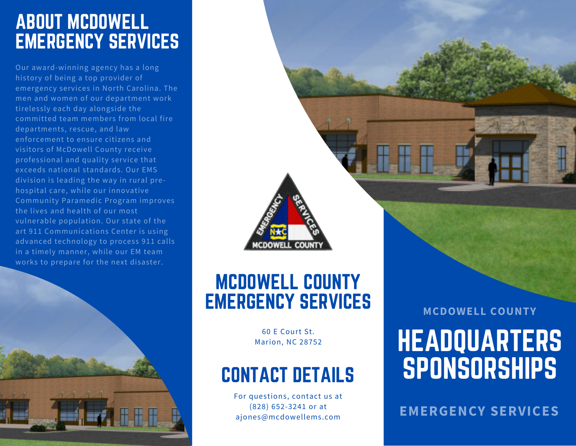### ABOUT MCDOWELL EMERGENCY SERVICES

Our award-winning agency has a long history of being a top provider of emergency services in North Carolina. The men and women of our department work tirelessly each day alongside the committed team members from local fire departments, rescue, and law enforcement to ensure citizens and visitors of McDowell County receive professional and quality service that exceeds national standards. Our EMS division is leading the way in rural prehospital care, while our innovative Community Paramedic Program improves the lives and health of our most vulnerable population. Our state of the art 911 Communications Center is using advanced technology to process 911 calls in a timely manner, while our EM team works to prepare for the next disaster.



### MCDOWELL COUNTY EMERGENCY SERVICES

**COUNT** 

**DOWFLL** 

60 E Court St. Marion, NC 28752

### CONTACT DETAILS

For questions, contact us at (828) 652-3241 or at ajones@mcdowellems.com

**MCDOWELL COUNTY**

# HEADQUARTERS SPONSORSHIPS

**EMERGENCY SERVICES**